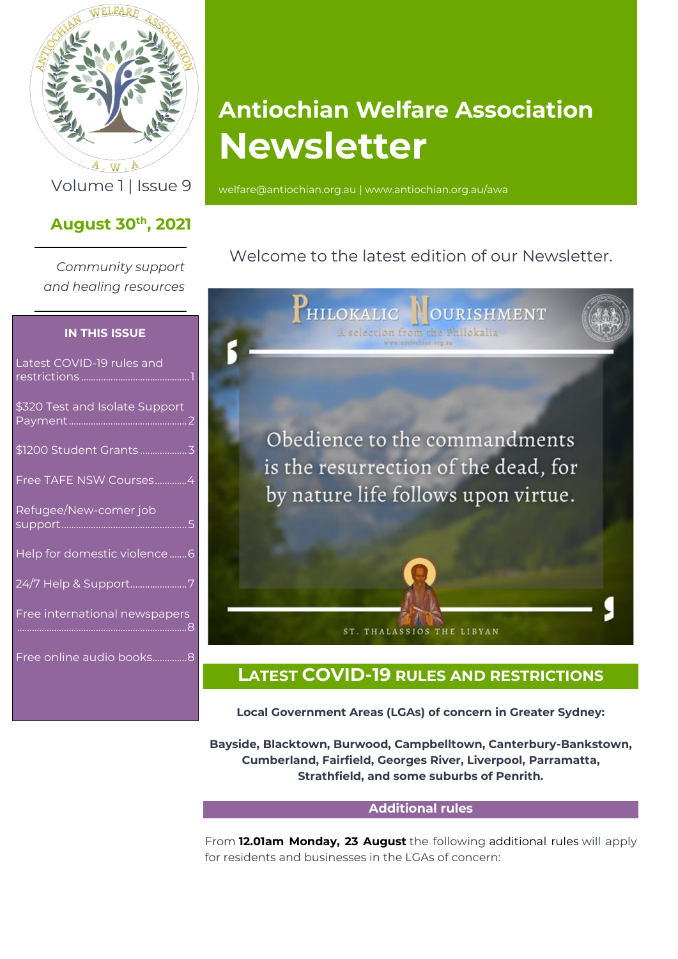

 $A \cdot W \cdot A$ 

## **August 30th , 2021**

*Community support and healing resources*

#### **IN THIS ISSUE**

| Latest COVID-19 rules and      |   |
|--------------------------------|---|
| \$320 Test and Isolate Support | 2 |
|                                |   |
| Free TAFE NSW Courses4         |   |
| Refugee/New-comer job          |   |
| Help for domestic violence 6   |   |
| 24/7 Help & Support7           |   |
| Free international newspapers  |   |
| Free online audio books8       |   |
|                                |   |

# **Antiochian Welfare Association Newsletter**

Volume 1 | Issue 9 [welfare@antiochian.org.au](mailto:welfare@antiochian.org.au) [| www.antiochian.org.au/awa](http://www.antiochian.org.au/awa)

## Welcome to the latest edition of our Newsletter.



## <span id="page-0-0"></span>**LATEST COVID-19 RULES AND RESTRICTIONS**

**Local Government Areas (LGAs) of concern in Greater Sydney:**

**Bayside, Blacktown, Burwood, Campbelltown, Canterbury-Bankstown, Cumberland, Fairfield, Georges River, Liverpool, Parramatta, Strathfield, and some suburbs of Penrith.**

#### **Additional rules**

From **12.01am Monday, 23 August** the following additional rules will apply for residents and businesses in the LGAs of concern: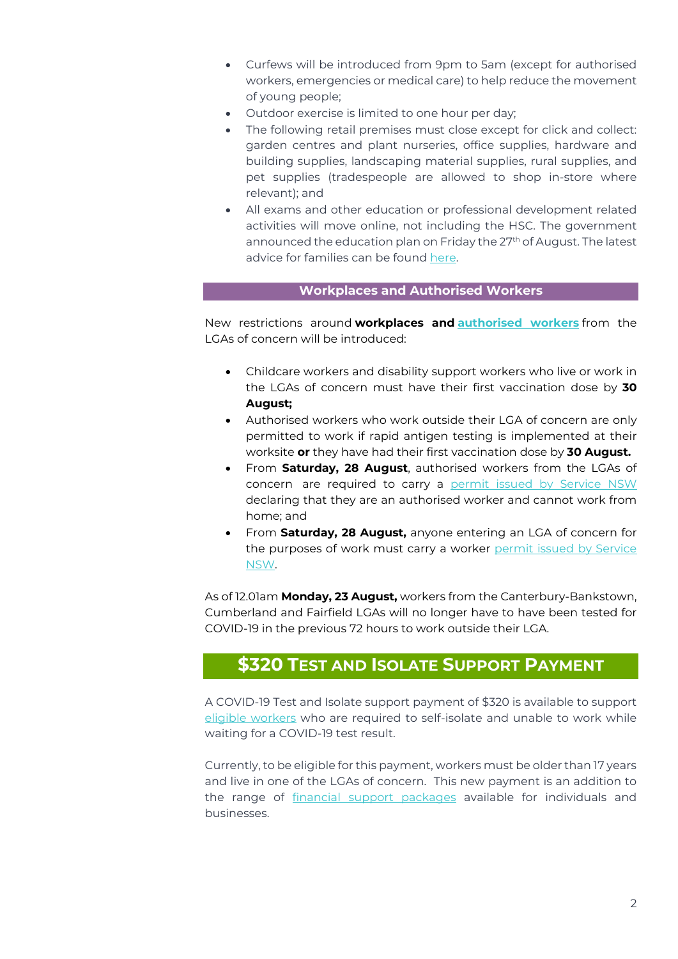- Curfews will be introduced from 9pm to 5am (except for authorised workers, emergencies or medical care) to help reduce the movement of young people;
- Outdoor exercise is limited to one hour per day;
- The following retail premises must close except for click and collect: garden centres and plant nurseries, office supplies, hardware and building supplies, landscaping material supplies, rural supplies, and pet supplies (tradespeople are allowed to shop in-store where relevant); and
- All exams and other education or professional development related activities will move online, not including the HSC. The government announced the education plan on Friday the 27<sup>th</sup> of August. The latest advice for families can be found [here.](https://education.nsw.gov.au/covid-19/advice-for-families)

#### **Workplaces and Authorised Workers**

New restrictions around **workplaces and [authorised](https://aus01.safelinks.protection.outlook.com/?url=http%3A%2F%2Fnews.multicultural.nsw.gov.au%2Flink%2Fid%2Fzzzz611f320e1573c424Pzzzz5e814f4e8371b207%2Fpage.html&data=04%7C01%7Cmyriam.bahari4%40tafensw.edu.au%7C1e0a13ef1a204d1a419008d963950d82%7C1953722255d7458184fbc2da6e835c74%7C0%7C0%7C637650314091502142%7CUnknown%7CTWFpbGZsb3d8eyJWIjoiMC4wLjAwMDAiLCJQIjoiV2luMzIiLCJBTiI6Ik1haWwiLCJXVCI6Mn0%3D%7C1000&sdata=7CfuB4KbqSneK%2FYUPgAchJkhS%2F%2BQQE%2BASIxi7WLTzD8%3D&reserved=0) workers** from the LGAs of concern will be introduced:

- Childcare workers and disability support workers who live or work in the LGAs of concern must have their first vaccination dose by **30 August;**
- Authorised workers who work outside their LGA of concern are only permitted to work if rapid antigen testing is implemented at their worksite **or** they have had their first vaccination dose by **30 August.**
- From **Saturday, 28 August**, authorised workers from the LGAs of concern are required to carry a permit issued by [Service](https://www.service.nsw.gov.au/transaction/register-your-travel-within-nsw) NSW declaring that they are an authorised worker and cannot work from home; and
- From **Saturday, 28 August,** anyone entering an LGA of concern for the purposes of work must carry a worker permit issued by [Service](https://www.service.nsw.gov.au/transaction/register-your-travel-within-nsw) [NSW.](https://www.service.nsw.gov.au/transaction/register-your-travel-within-nsw)

As of 12.01am **Monday, 23 August,** workers from the Canterbury-Bankstown, Cumberland and Fairfield LGAs will no longer have to have been tested for COVID-19 in the previous 72 hours to work outside their LGA.

## <span id="page-1-0"></span>**\$320 TEST AND ISOLATE SUPPORT PAYMENT**

A COVID-19 Test and Isolate support payment of \$320 is available to support [eligible workers](https://www.service.nsw.gov.au/transaction/apply-test-and-isolate-support-payment) who are required to self-isolate and unable to work while waiting for a COVID-19 test result.

Currently, to be eligible for this payment, workers must be older than 17 years and live in one of the LGAs of concern. This new payment is an addition to the range of [financial support packages](https://aus01.safelinks.protection.outlook.com/?url=http%3A%2F%2Fnews.multicultural.nsw.gov.au%2Flink%2Fid%2Fzzzz61271b3a2d659064Pzzzz5e814f4e8371b207%2Fpage.html&data=04%7C01%7Cmyriam.bahari4%40tafensw.edu.au%7C817d17cd22ab41cbf7c708d9684c4336%7C1953722255d7458184fbc2da6e835c74%7C0%7C0%7C637655499019815647%7CUnknown%7CTWFpbGZsb3d8eyJWIjoiMC4wLjAwMDAiLCJQIjoiV2luMzIiLCJBTiI6Ik1haWwiLCJXVCI6Mn0%3D%7C1000&sdata=I9NZuy3owk2CsOcqORUWA5ALIaULchcMWWdBRUuhVGw%3D&reserved=0) available for individuals and businesses.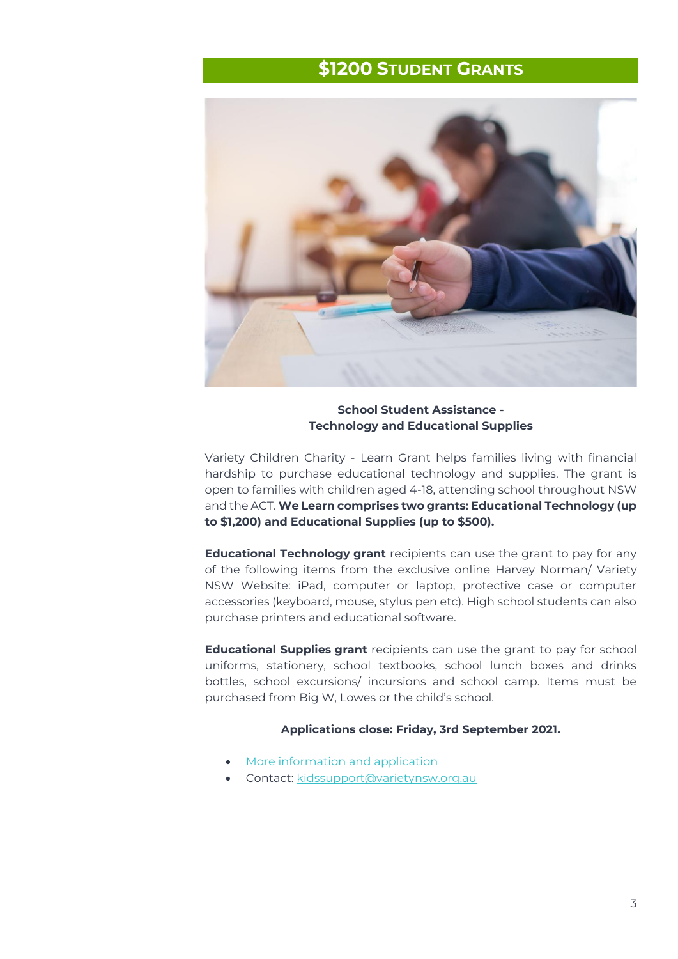## **\$1200 STUDENT GRANTS**

<span id="page-2-0"></span>

**School Student Assistance - Technology and Educational Supplies** 

Variety Children Charity - Learn Grant helps families living with financial hardship to purchase educational technology and supplies. The grant is open to families with children aged 4-18, attending school throughout NSW and the ACT. **We Learn comprises two grants: Educational Technology (up to \$1,200) and Educational Supplies (up to \$500).**

**Educational Technology grant** recipients can use the grant to pay for any of the following items from the exclusive online Harvey Norman/ Variety NSW Website: iPad, computer or laptop, protective case or computer accessories (keyboard, mouse, stylus pen etc). High school students can also purchase printers and educational software.

**Educational Supplies grant** recipients can use the grant to pay for school uniforms, stationery, school textbooks, school lunch boxes and drinks bottles, school excursions/ incursions and school camp. Items must be purchased from Big W, Lowes or the child's school.

#### **Applications close: Friday, 3rd September 2021.**

- [More information and application](https://aus01.safelinks.protection.outlook.com/?url=https%3A%2F%2Fwww.variety.org.au%2Fnsw%2Fwe-learn-grant%2F&data=04%7C01%7Cmyriam.bahari4%40tafensw.edu.au%7Cb7880c06c6e2426e088c08d9681f5a54%7C1953722255d7458184fbc2da6e835c74%7C0%7C0%7C637655306130797033%7CUnknown%7CTWFpbGZsb3d8eyJWIjoiMC4wLjAwMDAiLCJQIjoiV2luMzIiLCJBTiI6Ik1haWwiLCJXVCI6Mn0%3D%7C1000&sdata=YCDs1sEzyxbxgNjpMDw%2FoADXD236e126c2R3PRFHw18%3D&reserved=0)
- Contact: [kidssupport@varietynsw.org.au](mailto:kidssupport@varietynsw.org.au)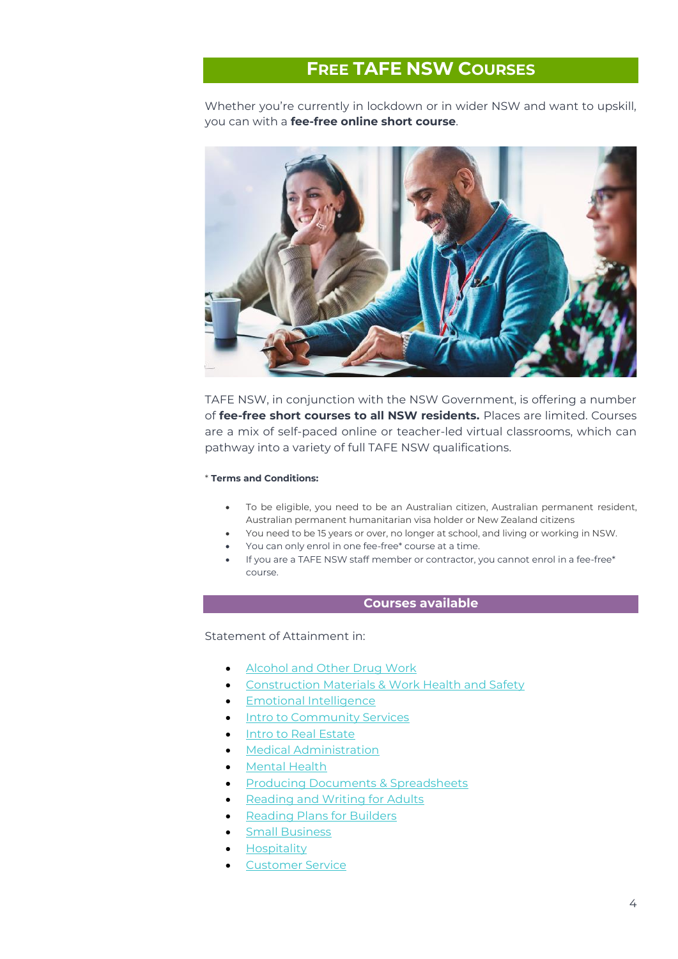## **FREE TAFE NSW COURSES**

<span id="page-3-0"></span>Whether you're currently in lockdown or in wider NSW and want to upskill, you can with a **fee-free online short course**.



TAFE NSW, in conjunction with the NSW Government, is offering a number of **fee-free short courses to all NSW residents.** Places are limited. Courses are a mix of self-paced online or teacher-led virtual classrooms, which can pathway into a variety of full TAFE NSW qualifications.

#### \* **Terms and Conditions:**

- To be eligible, you need to be an Australian citizen, Australian permanent resident, Australian permanent humanitarian visa holder or New Zealand citizens
- You need to be 15 years or over, no longer at school, and living or working in NSW.
- You can only enrol in one fee-free\* course at a time.
- If you are a TAFE NSW staff member or contractor, you cannot enrol in a fee-free\* course.

#### **Courses available**

Statement of Attainment in:

- [Alcohol and Other Drug Work](https://www.tafensw.edu.au/course/-/c/c/900-82348V01/Statement-of-Attainment-in-Alcohol-and-Other-Drug-work)
- [Construction Materials & Work Health and Safety](https://www.tafensw.edu.au/offering/-/o/o/900-80250V01-21OTE-500/Statement-of-Attainment-in-Construction-Materials-and-Work-Health-and-Safety)
- [Emotional Intelligence](https://www.tafensw.edu.au/offering/-/o/o/900-82367V01-21NEW-679/Statement-of-Attainment-in-Emotional-Intelligence)
- [Intro to Community Services](https://www.tafensw.edu.au/offering/-/o/o/900-82370V01-21OTE-501/Statement-of-Attainment-in-Introduction-to-Community-Services-Industry)
- [Intro to Real Estate](https://www.tafensw.edu.au/offering/-/o/o/900-82371V01-21OTE-502/Statement-of-Attainment-in-Introduction-to-Real-Estate)
- [Medical Administration](https://www.tafensw.edu.au/offering/-/o/o/900-82368V01-21OTE-503/Statement-of-Attainment-in-Medical-Administration)
- [Mental Health](https://www.tafensw.edu.au/course/-/c/c/900-82349V01/Statement-of-Attainment-in-Mental-Health)
- [Producing Documents & Spreadsheets](https://www.tafensw.edu.au/course/-/c/c/900-82347V01/Statement-of-Attainment-in-Producing-Documents-and-Spreadsheets)
- [Reading and Writing for Adults](https://www.tafensw.edu.au/offering/-/o/o/900-82376V01-21OTE-501/Statement-of-Attainment-in-Reading-and-Writing-for-Adults)
- **[Reading Plans for Builders](https://www.tafensw.edu.au/offering/-/o/o/900-82344V01-21OTE-500/Statement-of-Attainment-in-Reading-Plans-for-Builders)**
- **[Small Business](https://www.tafensw.edu.au/offering/-/o/o/900-82369V01-21OTE-504/Statement-of-Attainment-in-Small-Business)**
- **[Hospitality](https://www.tafensw.edu.au/course/-/c/c/SG00008098/Statement-of-Attainment-in-Hospitality--Interact-with-Customers--Safe-Work-Practices-and-Visitor-Information-)**
- [Customer Service](https://www.tafensw.edu.au/course/-/c/c/SITSS00036-01/Statement-of-Attainment-in-Customer-Service)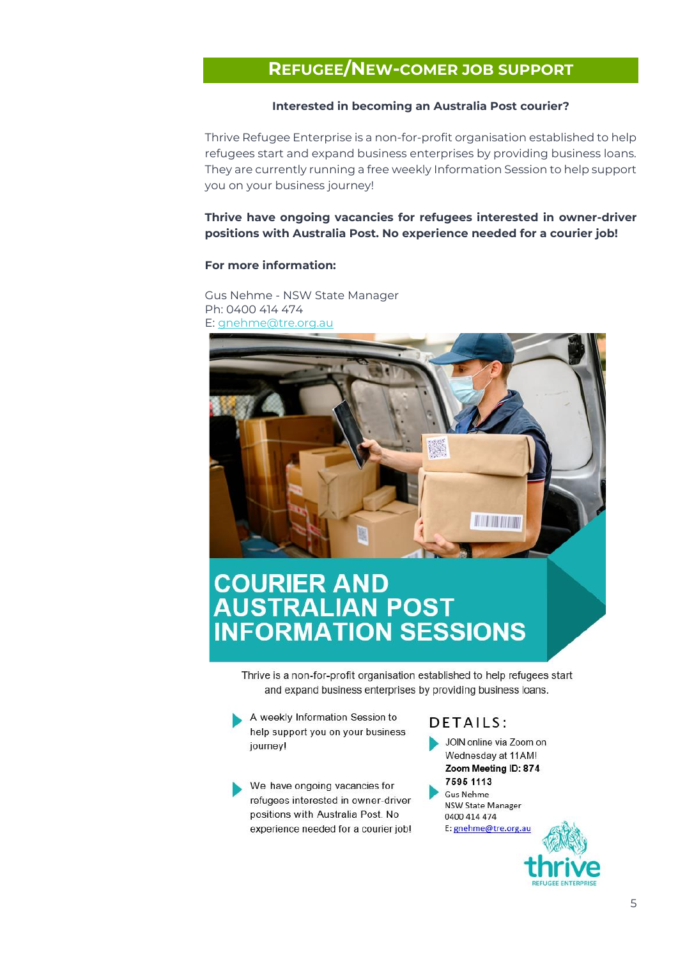## <span id="page-4-0"></span>**REFUGEE/NEW-COMER JOB SUPPORT**

#### **Interested in becoming an Australia Post courier?**

Thrive Refugee Enterprise is a non-for-profit organisation established to help refugees start and expand business enterprises by providing business loans. They are currently running a free weekly Information Session to help support you on your business journey!

**Thrive have ongoing vacancies for refugees interested in owner-driver positions with Australia Post. No experience needed for a courier job!**

#### **For more information:**

Gus Nehme - NSW State Manager Ph: 0400 414 474 E: [gnehme@tre.org.au](mailto:gnehme@tre.org.au)



# **COURIER AND<br>AUSTRALIAN POST<br>INFORMATION SESSIONS**

Thrive is a non-for-profit organisation established to help refugees start and expand business enterprises by providing business loans.

A weekly Information Session to help support you on your business journey!

We have ongoing vacancies for refugees interested in owner-driver positions with Australia Post. No experience needed for a courier job!

## DETAILS:

JOIN online via Zoom on Wednesday at 11AM! Zoom Meeting ID: 874 7595 1113 Gus Nehme **NSW State Manager** 0400 414 474 E: gnehme@tre.org.au

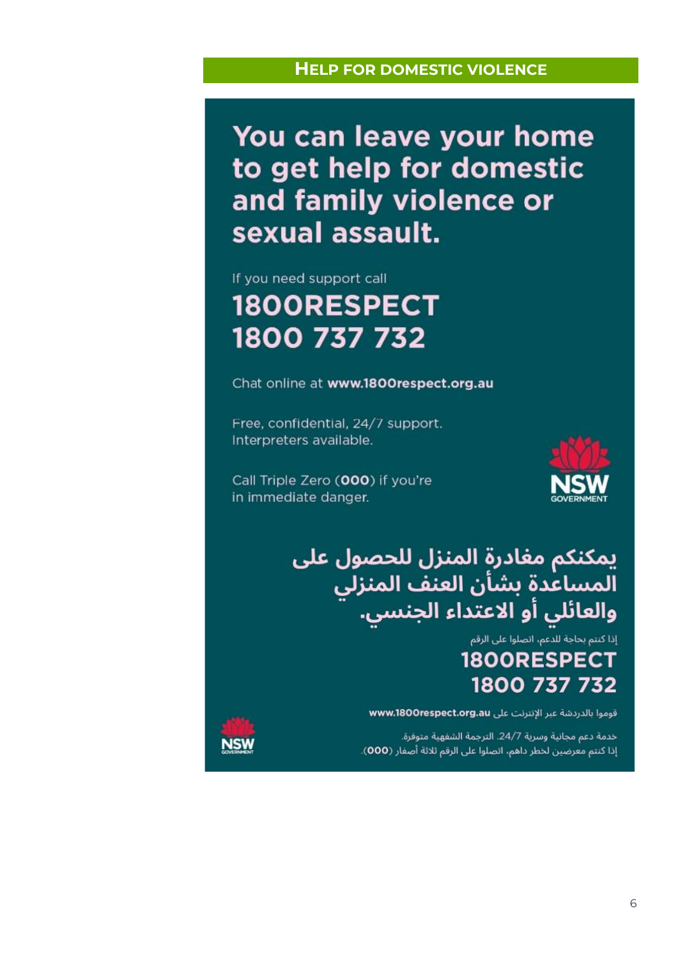### **HELP FOR DOMESTIC VIOLENCE**

<span id="page-5-0"></span>You can leave your home to get help for domestic and family violence or sexual assault.

## If you need support call 1800RESPECT 1800 737 732

Chat online at www.1800respect.org.au

Free, confidential, 24/7 support. Interpreters available.

Call Triple Zero (000) if you're in immediate danger.



يمكنكم مغادرة المنزل للحصول على المساعدة بشأن العنف المنزلي<br>والعائلي أو الاعتداء الجنسي.

## .<br>إذا كنتم بحاجة للدعم، اتصلوا على الرقم 1800RESPECT 1800 737 732

قوموا بالدردشة عبر الإنترنت على www.1800respect.org.au

خدمة دعم مجانية وسرية 24/7. الترجمة الشفهية متوفرة. إذا كنتم معرضين لخطر داهم، اتصلوا على الرقم ثلاثة أصفار (000).

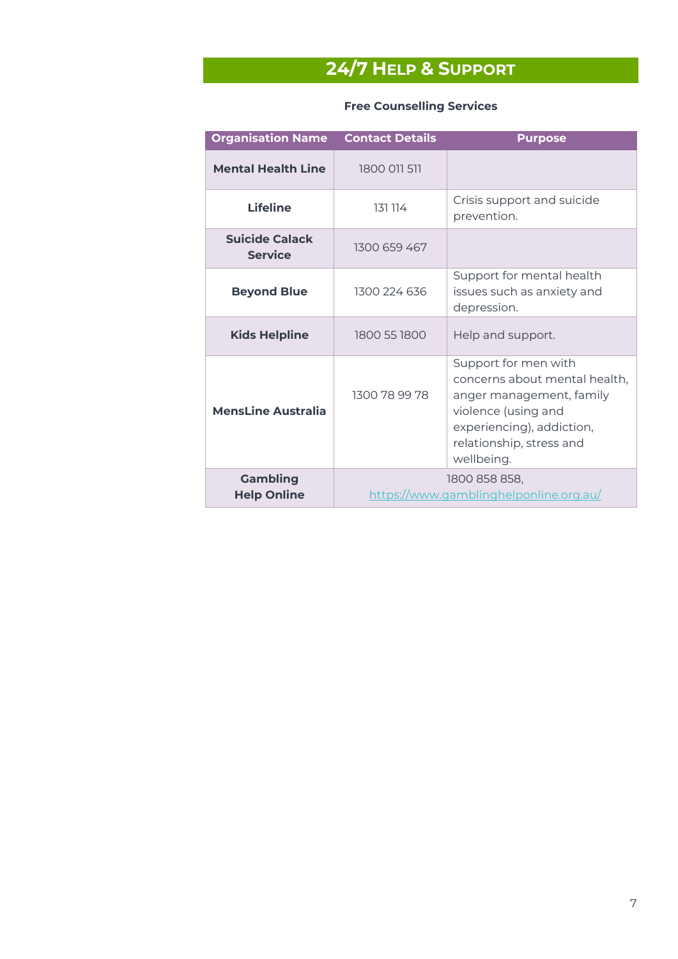## **24/7 HELP & SUPPORT**

<span id="page-6-0"></span>

| <b>Organisation Name</b>                | <b>Contact Details</b>                                  | <b>Purpose</b>                                                                                                                                                                  |
|-----------------------------------------|---------------------------------------------------------|---------------------------------------------------------------------------------------------------------------------------------------------------------------------------------|
| <b>Mental Health Line</b>               | 1800 011 511                                            |                                                                                                                                                                                 |
| <b>Lifeline</b>                         | 131 114                                                 | Crisis support and suicide<br>prevention.                                                                                                                                       |
| <b>Suicide Calack</b><br><b>Service</b> | 1300 659 467                                            |                                                                                                                                                                                 |
| <b>Beyond Blue</b>                      | 1300 224 636                                            | Support for mental health<br>issues such as anxiety and<br>depression.                                                                                                          |
| <b>Kids Helpline</b>                    | 1800 55 1800                                            | Help and support.                                                                                                                                                               |
| <b>MensLine Australia</b>               | 1300 78 99 78                                           | Support for men with<br>concerns about mental health,<br>anger management, family<br>violence (using and<br>experiencing), addiction,<br>relationship, stress and<br>wellbeing. |
| <b>Gambling</b><br><b>Help Online</b>   | 1800 858 858,<br>https://www.gamblinghelponline.org.au/ |                                                                                                                                                                                 |